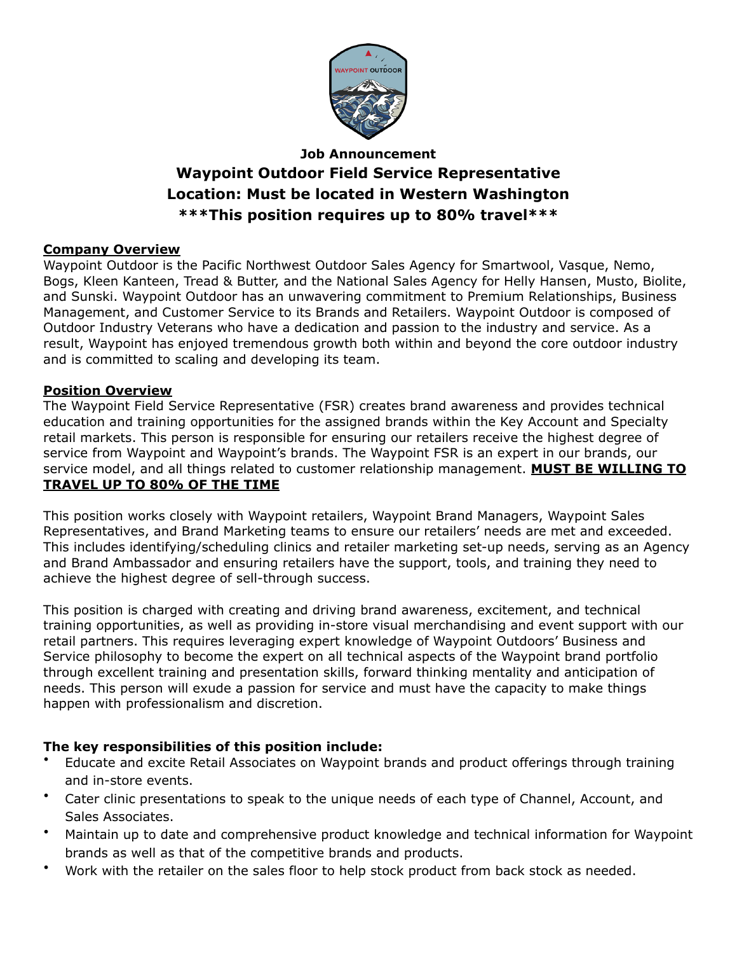

# **Job Announcement Waypoint Outdoor Field Service Representative Location: Must be located in Western Washington \*\*\*This position requires up to 80% travel\*\*\***

#### **Company Overview**

Waypoint Outdoor is the Pacific Northwest Outdoor Sales Agency for Smartwool, Vasque, Nemo, Bogs, Kleen Kanteen, Tread & Butter, and the National Sales Agency for Helly Hansen, Musto, Biolite, and Sunski. Waypoint Outdoor has an unwavering commitment to Premium Relationships, Business Management, and Customer Service to its Brands and Retailers. Waypoint Outdoor is composed of Outdoor Industry Veterans who have a dedication and passion to the industry and service. As a result, Waypoint has enjoyed tremendous growth both within and beyond the core outdoor industry and is committed to scaling and developing its team.

#### **Position Overview**

The Waypoint Field Service Representative (FSR) creates brand awareness and provides technical education and training opportunities for the assigned brands within the Key Account and Specialty retail markets. This person is responsible for ensuring our retailers receive the highest degree of service from Waypoint and Waypoint's brands. The Waypoint FSR is an expert in our brands, our service model, and all things related to customer relationship management. **MUST BE WILLING TO TRAVEL UP TO 80% OF THE TIME**

This position works closely with Waypoint retailers, Waypoint Brand Managers, Waypoint Sales Representatives, and Brand Marketing teams to ensure our retailers' needs are met and exceeded. This includes identifying/scheduling clinics and retailer marketing set-up needs, serving as an Agency and Brand Ambassador and ensuring retailers have the support, tools, and training they need to achieve the highest degree of sell-through success.

This position is charged with creating and driving brand awareness, excitement, and technical training opportunities, as well as providing in-store visual merchandising and event support with our retail partners. This requires leveraging expert knowledge of Waypoint Outdoors' Business and Service philosophy to become the expert on all technical aspects of the Waypoint brand portfolio through excellent training and presentation skills, forward thinking mentality and anticipation of needs. This person will exude a passion for service and must have the capacity to make things happen with professionalism and discretion.

### **The key responsibilities of this position include:**

- Educate and excite Retail Associates on Waypoint brands and product offerings through training and in-store events.
- Cater clinic presentations to speak to the unique needs of each type of Channel, Account, and Sales Associates.
- Maintain up to date and comprehensive product knowledge and technical information for Waypoint brands as well as that of the competitive brands and products.
- Work with the retailer on the sales floor to help stock product from back stock as needed.